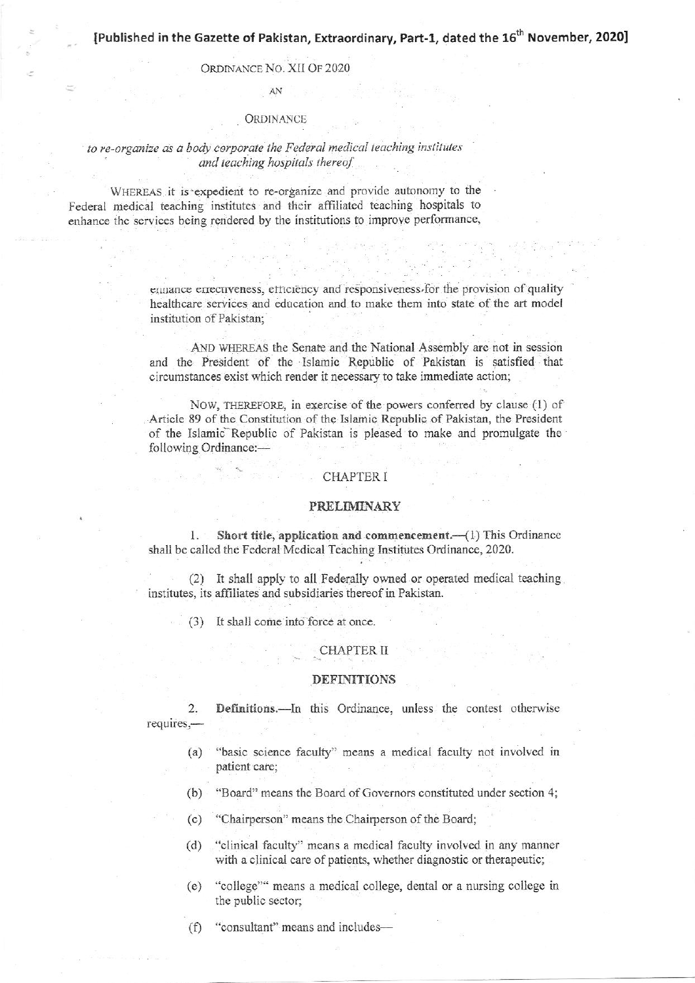# ORDINANCE NO. XII OF 2020 AN

#### **ORDINANCE**

# to re-organize as a body corporate the Federal medical teaching institutes and teaching hospitals thereof

WHEREAS it is expedient to re-organize and provide autonomy to the Federal medical teaching institutes and their affiliated teaching hospitals to enhance the services being rendered by the institutions to improve performance,

> emance errecuveness, efficiency and responsiveness for the provision of quality healthcare services and education and to make them into state of the art model institution of Pakistan;

> AND WHEREAS the Senate and the National Assembly are not in session and the President of the Islamic Republic of Pakistan is satisfied that circumstances exist which render it necessary to take immediate action;

> NOW, THEREFORE, in exercise of the powers conferred by clause (1) of Article 89 of the Constitution of the Islamic Republic of Pakistan, the President of the Islamic Republic of Pakistan is pleased to make and promulgate the following Ordinance:-

#### **CHAPTER I**

#### **PRELIMINARY**

Short title, application and commencement.—(1) This Ordinance  $1.$ shall be called the Federal Medical Teaching Institutes Ordinance, 2020.

(2) It shall apply to all Federally owned or operated medical teaching. institutes, its affiliates and subsidiaries thereof in Pakistan.

 $(3)$  It shall come into force at once.

#### **CHAPTER II**

#### **DEFINITIONS**

Definitions.-In this Ordinance, unless the contest otherwise  $2.$ requires,-

- "basic science faculty" means a medical faculty not involved in  $(a)$ patient care;
- $(b)$ "Board" means the Board of Governors constituted under section 4;
- "Chairperson" means the Chairperson of the Board;  $(c)$
- $(d)$ "clinical faculty" means a medical faculty involved in any manner with a clinical care of patients, whether diagnostic or therapeutic;
- "college" means a medical college, dental or a nursing college in  $(e)$ the public sector;

"consultant" means and includes- $(f)$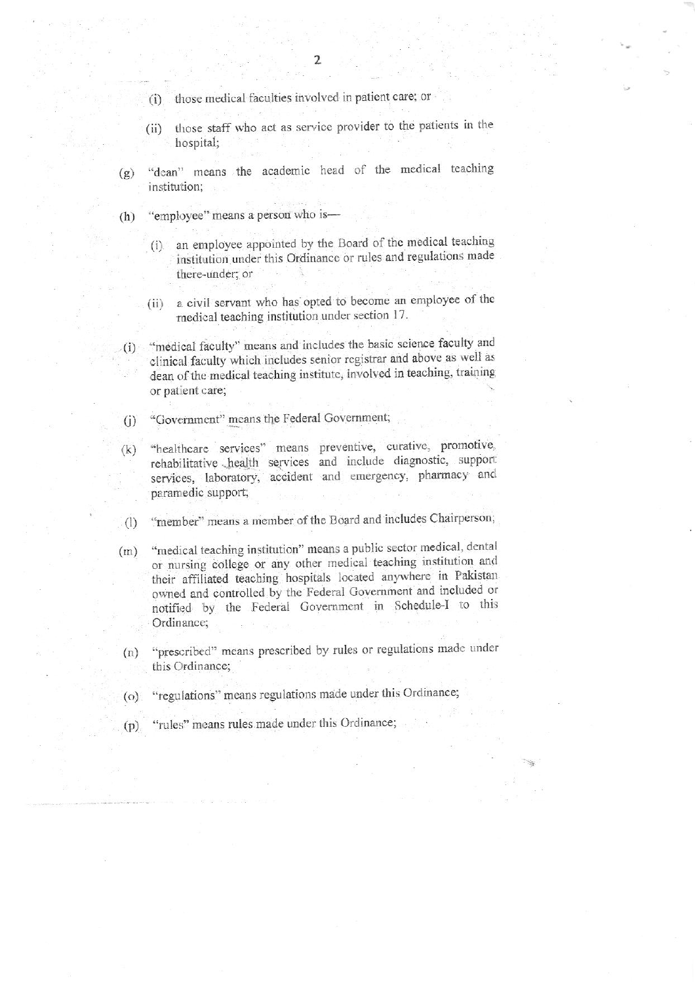- those medical faculties involved in patient care; or  $(i)$
- those staff who act as service provider to the patients in the  $(ii)$ hospital;
- "dean" means the academic head of the medical teaching  $(g)$ institution;
- "employee" means a person who is- $(h)$ 
	- (i) an employee appointed by the Board of the medical teaching institution under this Ordinance or rules and regulations made there-under; or
	- a civil servant who has opted to become an employee of the  $(ii)$ medical teaching institution under section 17.
- "medical faculty" means and includes the basic science faculty and  $(i)$ clinical faculty which includes senior registrar and above as well as dean of the medical teaching institute, involved in teaching, training or patient care;
- "Government" means the Federal Government;  $(i)$
- "healthcare services" means preventive, curative, promotive,  $(k)$ rehabilitative health services and include diagnostic, support services, laboratory, accident and emergency, pharmacy and paramedic support;
- "member" means a member of the Board and includes Chairperson;  $(1)$
- "medical teaching institution" means a public sector medical, dental  $(m)$ or nursing college or any other medical teaching institution and their affiliated teaching hospitals located anywhere in Pakistan owned and controlled by the Federal Government and included or notified by the Federal Government in Schedule-I to this Ordinance;
- "prescribed" means prescribed by rules or regulations made under  $(n)$ this Ordinance;
- "regulations" means regulations made under this Ordinance;  $(o)$
- "rules" means rules made under this Ordinance;  $(p)$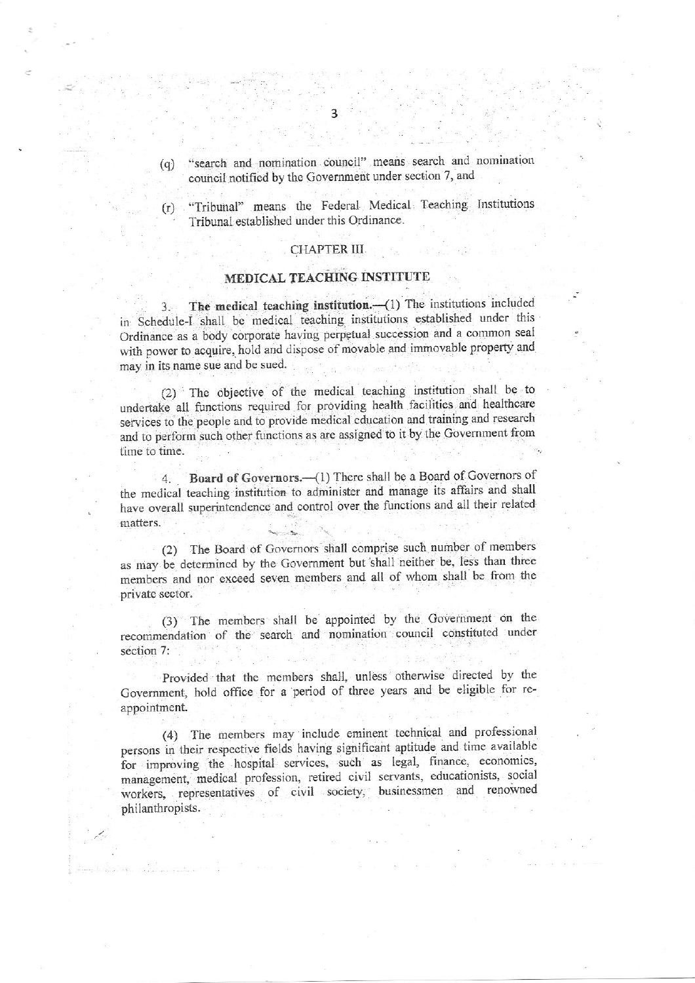- "search and nomination council" means search and nomination  $(q)$ council notified by the Government under section 7, and
- "Tribunal" means the Federal Medical Teaching Institutions  $(r)$ Tribunal established under this Ordinance.

## CHAPTER III

## MEDICAL TEACHING INSTITUTE

The medical teaching institution.-(1) The institutions included  $3.$ in Schedule-I shall be medical teaching institutions established under this Ordinance as a body corporate having perpetual succession and a common seal with power to acquire, hold and dispose of movable and immovable property and may in its name sue and be sued.

(2) The objective of the medical teaching institution shall be to undertake all functions required for providing health facilities and healthcare services to the people and to provide medical education and training and research and to perform such other functions as are assigned to it by the Government from time to time.

Board of Governors.-- (1) There shall be a Board of Governors of  $\overline{4}$ . the medical teaching institution to administer and manage its affairs and shall have overall superintendence and control over the functions and all their related matters.

(2) The Board of Governors shall comprise such number of members as may be determined by the Government but shall neither be, less than three members and nor exceed seven members and all of whom shall be from the private sector.

(3) The members shall be appointed by the Government on the recommendation of the search and nomination council constituted under section 7:

Provided that the members shall, unless otherwise directed by the Government, hold office for a period of three years and be eligible for reappointment.

(4) The members may include eminent technical and professional persons in their respective fields having significant aptitude and time available for improving the hospital services, such as legal, finance, economics, management, medical profession, retired civil servants, educationists, social workers, representatives of civil society, businessmen and renowned philanthropists.